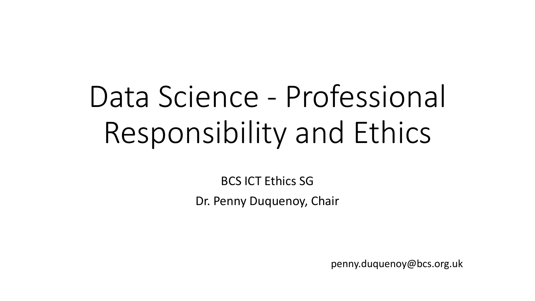# Data Science - Professional Responsibility and Ethics

BCS ICT Ethics SG Dr. Penny Duquenoy, Chair

penny.duquenoy@bcs.org.uk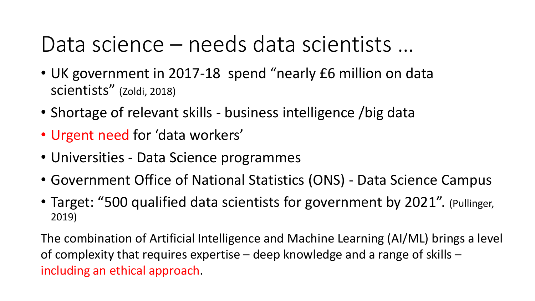#### Data science – needs data scientists …

- UK government in 2017-18 spend "nearly £6 million on data scientists" (Zoldi, 2018)
- Shortage of relevant skills business intelligence /big data
- Urgent need for 'data workers'
- Universities Data Science programmes
- Government Office of National Statistics (ONS) Data Science Campus
- Target: "500 qualified data scientists for government by 2021". (Pullinger, 2019)

The combination of Artificial Intelligence and Machine Learning (AI/ML) brings a level of complexity that requires expertise – deep knowledge and a range of skills – including an ethical approach.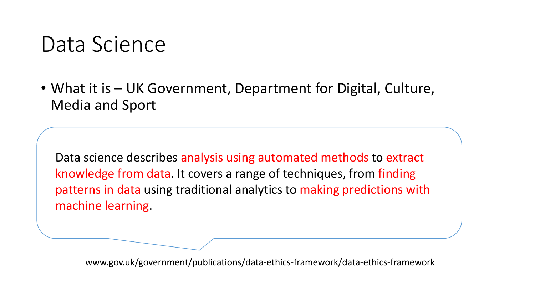#### Data Science

• What it is – UK Government, Department for Digital, Culture, Media and Sport

Data science describes analysis using automated methods to extract knowledge from data. It covers a range of techniques, from finding patterns in data using traditional analytics to making predictions with machine learning.

www.gov.uk/government/publications/data-ethics-framework/data-ethics-framework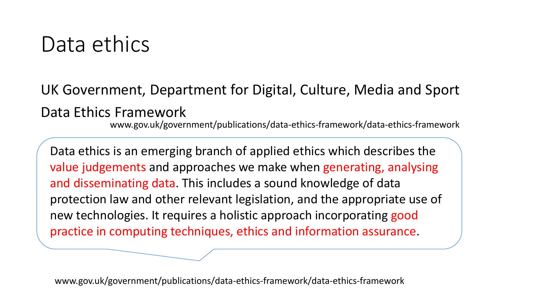#### Data ethics

UK Government, Department for Digital, Culture, Media and Sport Data Ethics Framework

www.gov.uk/government/publications/data-ethics-framework/data-ethics-framework

Data ethics is an emerging branch of applied ethics which describes the value judgements and approaches we make when generating, analysing and disseminating data. This includes a sound knowledge of data protection law and other relevant legislation, and the appropriate use of new technologies. It requires a holistic approach incorporating good practice in computing techniques, ethics and information assurance.

www.gov.uk/government/publications/data-ethics-framework/data-ethics-framework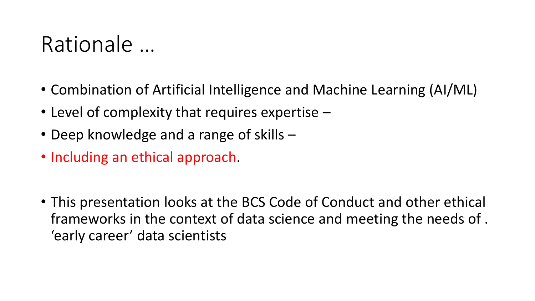#### Rationale …

- Combination of Artificial Intelligence and Machine Learning (AI/ML)
- Level of complexity that requires expertise  $-$
- Deep knowledge and a range of skills –
- Including an ethical approach.
- This presentation looks at the BCS Code of Conduct and other ethical frameworks in the context of data science and meeting the needs of . 'early career' data scientists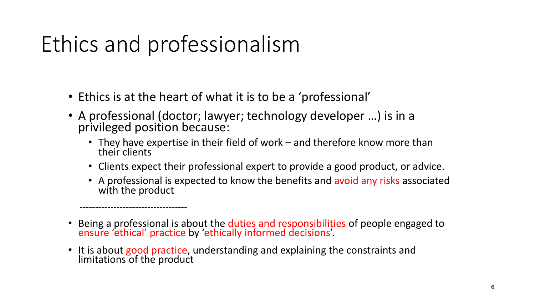## Ethics and professionalism

-----------------------------------

- Ethics is at the heart of what it is to be a 'professional'
- A professional (doctor; lawyer; technology developer …) is in a privileged position because:
	- They have expertise in their field of work and therefore know more than their clients
	- Clients expect their professional expert to provide a good product, or advice.
	- A professional is expected to know the benefits and avoid any risks associated with the product
- Being a professional is about the duties and responsibilities of people engaged to ensure 'ethical' practice by 'ethically informed decisions'.
- It is about good practice, understanding and explaining the constraints and limitations of the product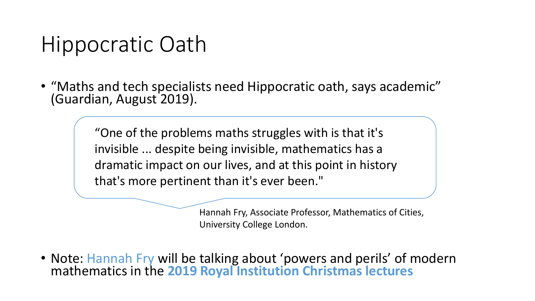#### Hippocratic Oath

• "Maths and tech specialists need Hippocratic oath, says academic" (Guardian, August 2019).

> "One of the problems maths struggles with is that it's invisible ... despite being invisible, mathematics has a dramatic impact on our lives, and at this point in history that's more pertinent than it's ever been."

> > Hannah Fry, Associate Professor, Mathematics of Cities, University College London.

• Note: Hannah Fry will be talking about 'powers and perils' of modern mathematics in the **2019 Royal Institution Christmas lectures**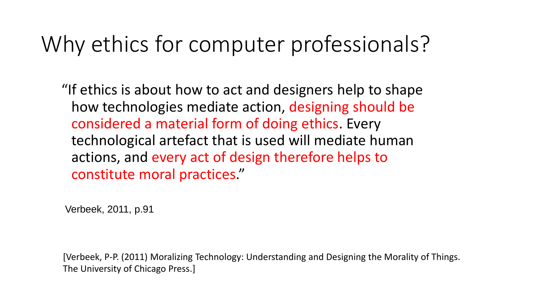### Why ethics for computer professionals?

"If ethics is about how to act and designers help to shape how technologies mediate action, designing should be considered a material form of doing ethics. Every technological artefact that is used will mediate human actions, and every act of design therefore helps to constitute moral practices."

Verbeek, 2011, p.91

[Verbeek, P-P. (2011) Moralizing Technology: Understanding and Designing the Morality of Things. The University of Chicago Press.]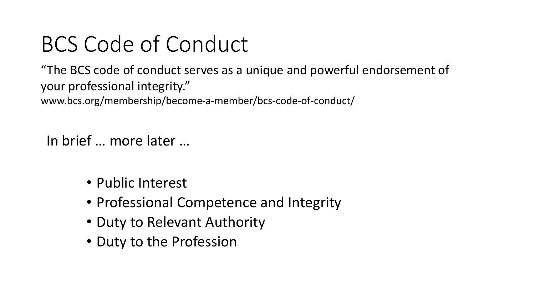"The BCS code of conduct serves as a unique and powerful endorsement of your professional integrity." www.bcs.org/membership/become-a-member/bcs-code-of-conduct/

In brief … more later …

- Public Interest
- Professional Competence and Integrity
- Duty to Relevant Authority
- Duty to the Profession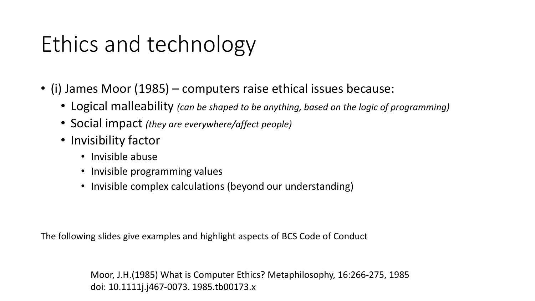## Ethics and technology

- (i) James Moor (1985) computers raise ethical issues because:
	- Logical malleability *(can be shaped to be anything, based on the logic of programming)*
	- Social impact *(they are everywhere/affect people)*
	- Invisibility factor
		- Invisible abuse
		- Invisible programming values
		- Invisible complex calculations (beyond our understanding)

The following slides give examples and highlight aspects of BCS Code of Conduct

Moor, J.H.(1985) What is Computer Ethics? Metaphilosophy, 16:266-275, 1985 doi: 10.1111j.j467-0073. 1985.tb00173.x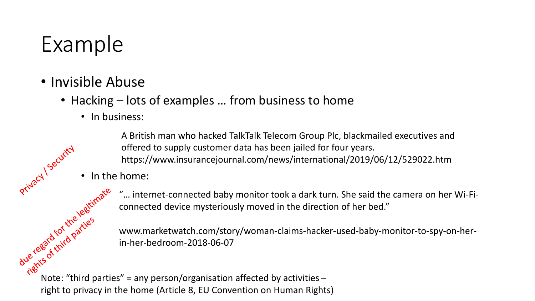### Example

- Invisible Abuse
	- Hacking lots of examples ... from business to home
		- In business:

A British man who hacked TalkTalk Telecom Group Plc, blackmailed executives and offered to supply customer data has been jailed for four years. https://www.insurancejournal.com/news/international/2019/06/12/529022.htm

• In the home:

"… internet-connected baby monitor took a dark turn. She said the camera on her Wi-Ficonnected device mysteriously moved in the direction of her bed."

www.marketwatch.com/story/woman-claims-hacker-used-baby-monitor-to-spy-on-herin-her-bedroom-2018-06-07  $x^2 + 8e^{x^2} + 8e^{x^2} + 8e^{x^2} + 8e^{x^2} + 8e^{x^2} + 8e^{x^2} + 8e^{x^2} + 8e^{x^2} + 8e^{x^2} + 8e^{x^2} + 8e^{x^2} + 8e^{x^2} + 8e^{x^2} + 8e^{x^2} + 8e^{x^2} + 8e^{x^2} + 8e^{x^2} + 8e^{x^2} + 8e^{x^2} + 8e^{x^2} + 8e^{x^2} + 8e^{x^2} + 8e^{x^2} + 8e^{x^2} +$ 

right to privacy in the home (Article 8, EU Convention on Human Rights)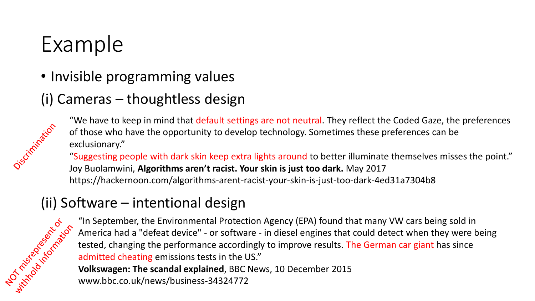### Example

• Invisible programming values

#### (i) Cameras – thoughtless design



"We have to keep in mind that default settings are not neutral. They reflect the Coded Gaze, the preferences of those who have the opportunity to develop technology. Sometimes these preferences can be exclusionary."

"Suggesting people with dark skin keep extra lights around to better illuminate themselves misses the point." Joy Buolamwini, **Algorithms aren't racist. Your skin is just too dark.** May 2017 https://hackernoon.com/algorithms-arent-racist-your-skin-is-just-too-dark-4ed31a7304b8

#### (ii) Software – intentional design

The Environmental Protection Agency (EPA) found that many VW cars being sold in<br>  $\frac{1}{2}$ <br>  $\frac{1}{2}$ <br>  $\frac{1}{2}$ <br>  $\frac{1}{2}$ <br>  $\frac{1}{2}$ <br>  $\frac{1}{2}$ <br>  $\frac{1}{2}$ <br>  $\frac{1}{2}$ <br>  $\frac{1}{2}$ <br>  $\frac{1}{2}$ <br>  $\frac{1}{2}$ <br>  $\frac{1}{2}$ <br>  $\frac{1}{2}$ America had a "defeat device" - or software - in diesel engines that could detect when they were being tested, changing the performance accordingly to improve results. The German car giant has since admitted cheating emissions tests in the US." **Volkswagen: The scandal explained**, BBC News, 10 December 2015 www.bbc.co.uk/news/business-34324772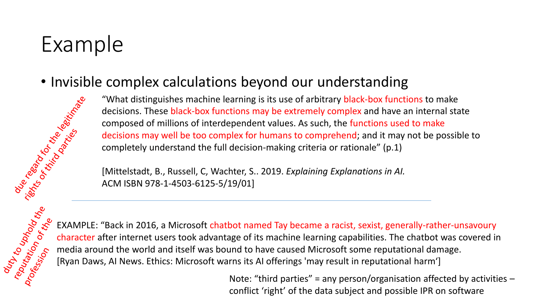### Example

• Invisible complex calculations beyond our understanding<br>
"What distinguishes machine learning is its use of arbitrary black-box function<br>
decisions. These black-box functions may be extremely complex and have a<br>
compose "What distinguishes machine learning is its use of arbitrary black-box functions to make decisions. These black-box functions may be extremely complex and have an internal state composed of millions of interdependent values. As such, the functions used to make decisions may well be too complex for humans to comprehend; and it may not be possible to completely understand the full decision-making criteria or rationale" (p.1)

[Mittelstadt, B., Russell, C, Wachter, S.. 2019. *Explaining Explanations in AI.* ACM ISBN 978-1-4503-6125-5/19/01]



EXAMPLE: "Back in 2016, a Microsoft chatbot named Tay became a racist, sexist, generally-rather-unsavoury<br>
or character after internet users took advantage of its machine learning capabilities. The chatbot was covered in<br> character after internet users took advantage of its machine learning capabilities. The chatbot was covered in media around the world and itself was bound to have caused Microsoft some reputational damage. [Ryan Daws, AI News. Ethics: Microsoft warns its AI offerings 'may result in reputational harm']

Note: "third parties" = any person/organisation affected by activities  $$ conflict 'right' of the data subject and possible IPR on software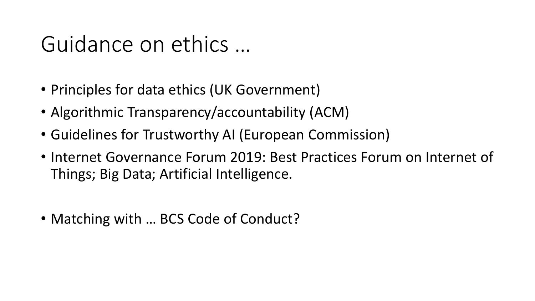#### Guidance on ethics …

- Principles for data ethics (UK Government)
- Algorithmic Transparency/accountability (ACM)
- Guidelines for Trustworthy AI (European Commission)
- Internet Governance Forum 2019: Best Practices Forum on Internet of Things; Big Data; Artificial Intelligence.
- Matching with ... BCS Code of Conduct?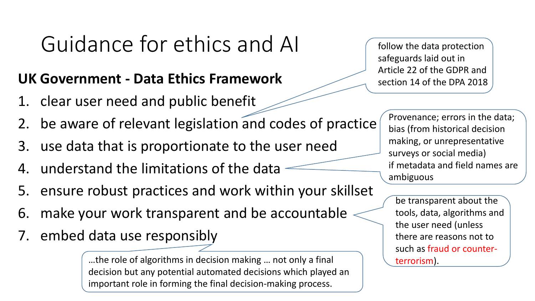### Guidance for ethics and AI

#### **UK Government - Data Ethics Framework**

- 1. clear user need and public benefit
- 2. be aware of relevant legislation and codes of practice
- 3. use data that is proportionate to the user need
- 4. understand the limitations of the data
- 5. ensure robust practices and work within your skillset
- 6. make your work transparent and be accountable
- 7. embed data use responsibly

…the role of algorithms in decision making … not only a final decision but any potential automated decisions which played an important role in forming the final decision-making process.

follow the data protection safeguards laid out in Article 22 of the GDPR and section 14 of the DPA 2018

> Provenance; errors in the data; bias (from historical decision making, or unrepresentative surveys or social media) if metadata and field names are ambiguous

be transparent about the tools, data, algorithms and the user need (unless there are reasons not to such as fraud or counterterrorism).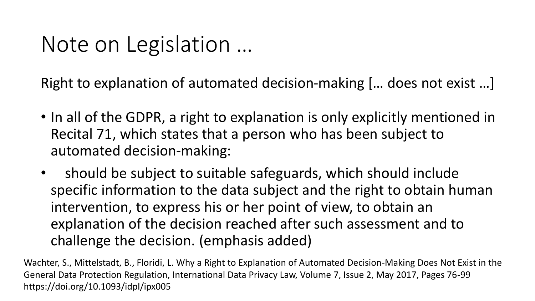#### Note on Legislation …

Right to explanation of automated decision-making [… does not exist …]

- In all of the GDPR, a right to explanation is only explicitly mentioned in Recital 71, which states that a person who has been subject to automated decision-making:
- should be subject to suitable safeguards, which should include specific information to the data subject and the right to obtain human intervention, to express his or her point of view, to obtain an explanation of the decision reached after such assessment and to challenge the decision. (emphasis added)

Wachter, S., Mittelstadt, B., Floridi, L. Why a Right to Explanation of Automated Decision-Making Does Not Exist in the General Data Protection Regulation, International Data Privacy Law, Volume 7, Issue 2, May 2017, Pages 76-99 https://doi.org/10.1093/idpl/ipx005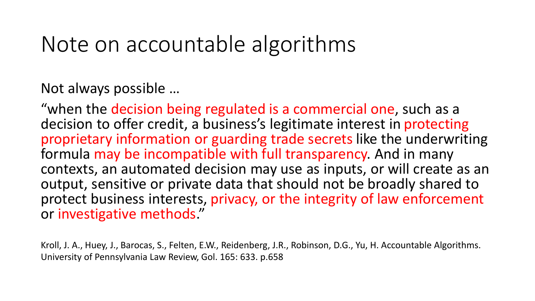#### Note on accountable algorithms

Not always possible …

"when the decision being regulated is a commercial one, such as a decision to offer credit, a business's legitimate interest in protecting proprietary information or guarding trade secrets like the underwriting formula may be incompatible with full transparency. And in many contexts, an automated decision may use as inputs, or will create as an output, sensitive or private data that should not be broadly shared to protect business interests, privacy, or the integrity of law enforcement or investigative methods."

Kroll, J. A., Huey, J., Barocas, S., Felten, E.W., Reidenberg, J.R., Robinson, D.G., Yu, H. Accountable Algorithms. University of Pennsylvania Law Review, Gol. 165: 633. p.658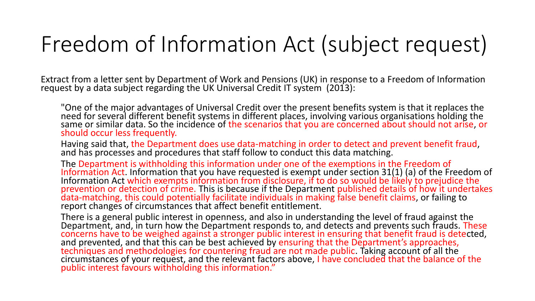### Freedom of Information Act (subject request)

Extract from a letter sent by Department of Work and Pensions (UK) in response to a Freedom of Information request by a data subject régarding the UK Universal Credit IT system (2013):

"One of the major advantages of Universal Credit over the present benefits system is that it replaces the need for several different benefit systems in different places, involving various organisations holding the same or similar data. So the incidence of the scenarios that you are concerned about should not arise, or should occur less frequently.

Having said that, the Department does use data-matching in order to detect and prevent benefit fraud, and has processes and procedures that staff follow to conduct this data matching.

The Department is withholding this information under one of the exemptions in the Freedom of Information Act. Information that you have requested is exempt under section 31(1) (a) of the Freedom of Information Act which exempts information from disclosure, if to do so would be likely to prejudice the prevention or detection of crime. This is because if the Department published details of how it undertakes data-matching, this could potentially facilitate individuals in making false benefit claims, or failing to report changes of circumstances that affect benefit entitlement.

There is a general public interest in openness, and also in understanding the level of fraud against the Department, and, in turn how the Department responds to, and detects and prevents such frauds. These concerns have to be weighed against a stronger public interest in ensuring that benefit fraud is detected, and prevented, and that this can be best achieved by ensuring that the Department's approaches, techniques and methodologies for countering fraud are not made public. Taking account of all the circumstances of your request, and the relevant factors above, I have concluded that the balance of the public interest favours withholding this information."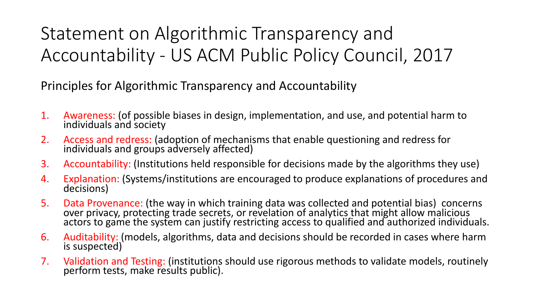#### Statement on Algorithmic Transparency and Accountability - US ACM Public Policy Council, 2017

Principles for Algorithmic Transparency and Accountability

- 1. Awareness: (of possible biases in design, implementation, and use, and potential harm to individuals and society
- 2. Access and redress: (adoption of mechanisms that enable questioning and redress for individuals and groups adversely affected)
- 3. Accountability: (Institutions held responsible for decisions made by the algorithms they use)
- 4. Explanation: (Systems/institutions are encouraged to produce explanations of procedures and decisions)
- 5. Data Provenance: (the way in which training data was collected and potential bias) concerns over privacy, protecting trade secrets, or revelation of analytics that might allow malicious actors to game the system can justify restricting access to qualified and authorized individuals.
- 6. Auditability: (models, algorithms, data and decisions should be recorded in cases where harm is suspected)
- 7. Validation and Testing: (institutions should use rigorous methods to validate models, routinely perform tests, make results public).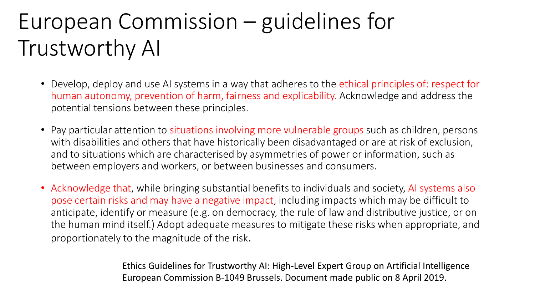### European Commission – guidelines for Trustworthy AI

- Develop, deploy and use AI systems in a way that adheres to the ethical principles of: respect for human autonomy, prevention of harm, fairness and explicability. Acknowledge and address the potential tensions between these principles.
- Pay particular attention to situations involving more vulnerable groups such as children, persons with disabilities and others that have historically been disadvantaged or are at risk of exclusion, and to situations which are characterised by asymmetries of power or information, such as between employers and workers, or between businesses and consumers.
- Acknowledge that, while bringing substantial benefits to individuals and society, AI systems also pose certain risks and may have a negative impact, including impacts which may be difficult to anticipate, identify or measure (e.g. on democracy, the rule of law and distributive justice, or on the human mind itself.) Adopt adequate measures to mitigate these risks when appropriate, and proportionately to the magnitude of the risk.

Ethics Guidelines for Trustworthy AI: High-Level Expert Group on Artificial Intelligence European Commission B-1049 Brussels. Document made public on 8 April 2019.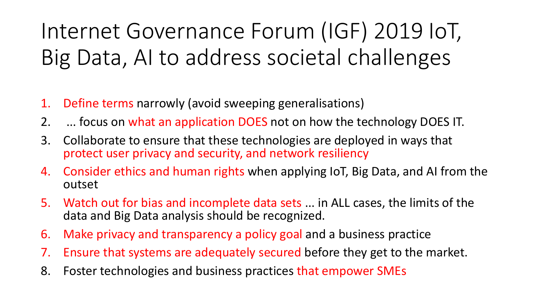## Internet Governance Forum (IGF) 2019 IoT, Big Data, AI to address societal challenges

- 1. Define terms narrowly (avoid sweeping generalisations)
- 2. ... focus on what an application DOES not on how the technology DOES IT.
- 3. Collaborate to ensure that these technologies are deployed in ways that protect user privacy and security, and network resiliency
- 4. Consider ethics and human rights when applying IoT, Big Data, and AI from the outset
- 5. Watch out for bias and incomplete data sets ... in ALL cases, the limits of the data and Big Data analysis should be recognized.
- 6. Make privacy and transparency a policy goal and a business practice
- 7. Ensure that systems are adequately secured before they get to the market.
- 8. Foster technologies and business practices that empower SMEs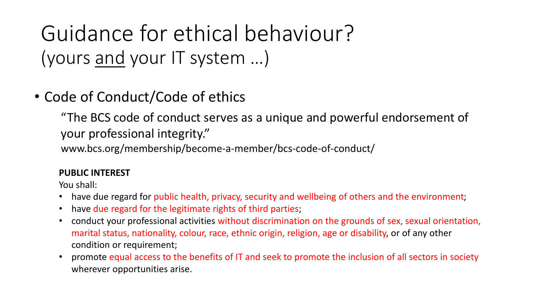Guidance for ethical behaviour? (yours and your IT system …)

#### • Code of Conduct/Code of ethics

"The BCS code of conduct serves as a unique and powerful endorsement of your professional integrity."

www.bcs.org/membership/become-a-member/bcs-code-of-conduct/

#### **PUBLIC INTEREST**

- have due regard for public health, privacy, security and wellbeing of others and the environment;
- have due regard for the legitimate rights of third parties;
- conduct your professional activities without discrimination on the grounds of sex, sexual orientation, marital status, nationality, colour, race, ethnic origin, religion, age or disability, or of any other condition or requirement;
- promote equal access to the benefits of IT and seek to promote the inclusion of all sectors in society wherever opportunities arise.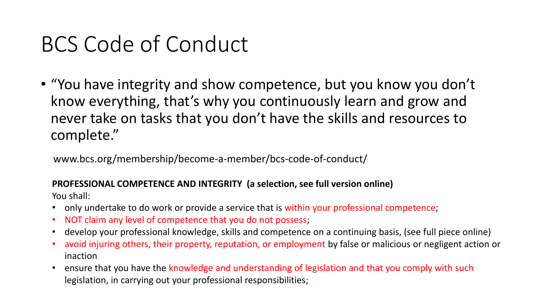• "You have integrity and show competence, but you know you don't know everything, that's why you continuously learn and grow and never take on tasks that you don't have the skills and resources to complete."

www.bcs.org/membership/become-a-member/bcs-code-of-conduct/

#### **PROFESSIONAL COMPETENCE AND INTEGRITY (a selection, see full version online)**

- only undertake to do work or provide a service that is within your professional competence;
- NOT claim any level of competence that you do not possess;
- develop your professional knowledge, skills and competence on a continuing basis, (see full piece online)
- avoid injuring others, their property, reputation, or employment by false or malicious or negligent action or inaction
- ensure that you have the knowledge and understanding of legislation and that you comply with such legislation, in carrying out your professional responsibilities;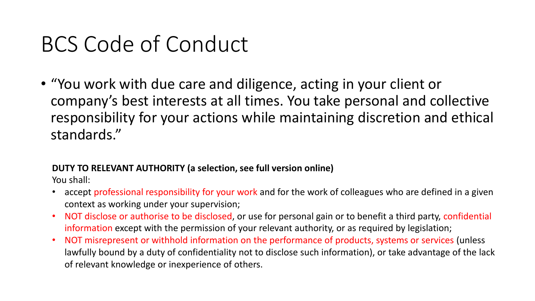• "You work with due care and diligence, acting in your client or company's best interests at all times. You take personal and collective responsibility for your actions while maintaining discretion and ethical standards."

#### **DUTY TO RELEVANT AUTHORITY (a selection, see full version online)**

- accept professional responsibility for your work and for the work of colleagues who are defined in a given context as working under your supervision;
- NOT disclose or authorise to be disclosed, or use for personal gain or to benefit a third party, confidential information except with the permission of your relevant authority, or as required by legislation;
- NOT misrepresent or withhold information on the performance of products, systems or services (unless lawfully bound by a duty of confidentiality not to disclose such information), or take advantage of the lack of relevant knowledge or inexperience of others.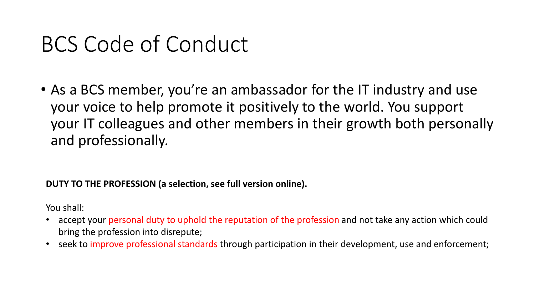• As a BCS member, you're an ambassador for the IT industry and use your voice to help promote it positively to the world. You support your IT colleagues and other members in their growth both personally and professionally.

#### **DUTY TO THE PROFESSION (a selection, see full version online).**

- accept your personal duty to uphold the reputation of the profession and not take any action which could bring the profession into disrepute;
- seek to improve professional standards through participation in their development, use and enforcement;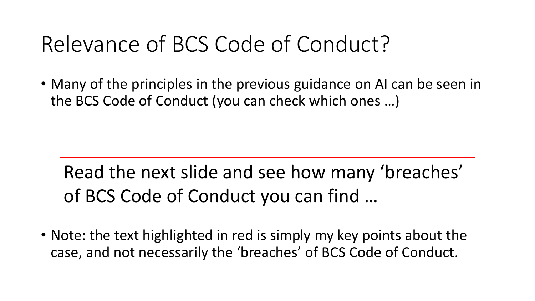### Relevance of BCS Code of Conduct?

• Many of the principles in the previous guidance on AI can be seen in the BCS Code of Conduct (you can check which ones …)

Read the next slide and see how many 'breaches' of BCS Code of Conduct you can find …

• Note: the text highlighted in red is simply my key points about the case, and not necessarily the 'breaches' of BCS Code of Conduct.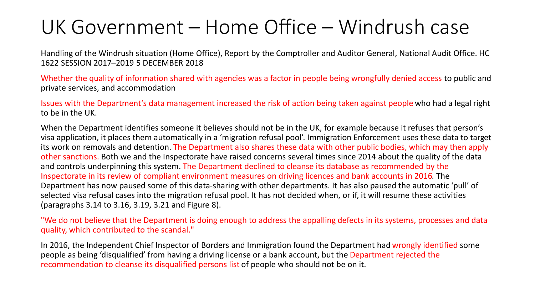#### UK Government – Home Office – Windrush case

Handling of the Windrush situation (Home Office), Report by the Comptroller and Auditor General, National Audit Office. HC 1622 SESSION 2017–2019 5 DECEMBER 2018

Whether the quality of information shared with agencies was a factor in people being wrongfully denied access to public and private services, and accommodation

Issues with the Department's data management increased the risk of action being taken against people who had a legal right to be in the UK.

When the Department identifies someone it believes should not be in the UK, for example because it refuses that person's visa application, it places them automatically in a 'migration refusal pool'. Immigration Enforcement uses these data to target its work on removals and detention. The Department also shares these data with other public bodies, which may then apply other sanctions. Both we and the Inspectorate have raised concerns several times since 2014 about the quality of the data and controls underpinning this system. The Department declined to cleanse its database as recommended by the Inspectorate in its review of compliant environment measures on driving licences and bank accounts in 2016. The Department has now paused some of this data-sharing with other departments. It has also paused the automatic 'pull' of selected visa refusal cases into the migration refusal pool. It has not decided when, or if, it will resume these activities (paragraphs 3.14 to 3.16, 3.19, 3.21 and Figure 8).

"We do not believe that the Department is doing enough to address the appalling defects in its systems, processes and data quality, which contributed to the scandal."

In 2016, the Independent Chief Inspector of Borders and Immigration found the Department had wrongly identified some people as being 'disqualified' from having a driving license or a bank account, but the Department rejected the recommendation to cleanse its disqualified persons list of people who should not be on it.